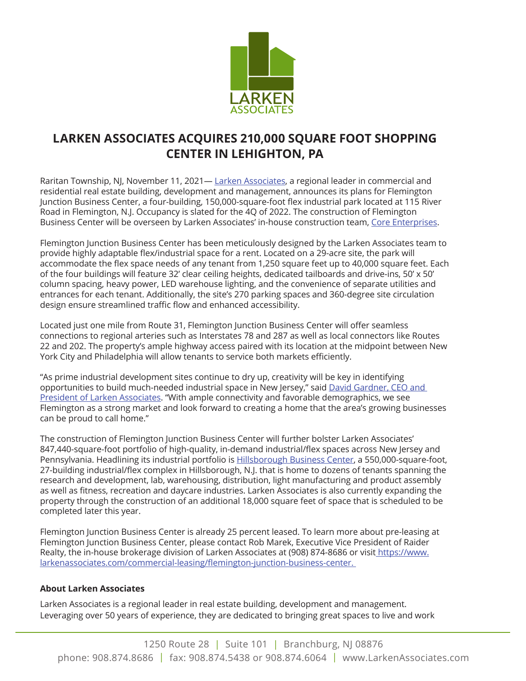

## **LARKEN ASSOCIATES ACQUIRES 210,000 SQUARE FOOT SHOPPING CENTER IN LEHIGHTON, PA**

Raritan Township, NJ, November 11, 2021— Larken Associates, a regional leader in commercial and residential real estate building, development and management, announces its plans for Flemington Junction Business Center, a four-building, 150,000-square-foot flex industrial park located at 115 River Road in Flemington, N.J. Occupancy is slated for the 4Q of 2022. The construction of Flemington Business Center will be overseen by Larken Associates' in-house construction team, Core Enterprises.

Flemington Junction Business Center has been meticulously designed by the Larken Associates team to provide highly adaptable flex/industrial space for a rent. Located on a 29-acre site, the park will accommodate the flex space needs of any tenant from 1,250 square feet up to 40,000 square feet. Each of the four buildings will feature 32' clear ceiling heights, dedicated tailboards and drive-ins, 50' x 50' column spacing, heavy power, LED warehouse lighting, and the convenience of separate utilities and entrances for each tenant. Additionally, the site's 270 parking spaces and 360-degree site circulation design ensure streamlined traffic flow and enhanced accessibility.

Located just one mile from Route 31, Flemington Junction Business Center will offer seamless connections to regional arteries such as Interstates 78 and 287 as well as local connectors like Routes 22 and 202. The property's ample highway access paired with its location at the midpoint between New York City and Philadelphia will allow tenants to service both markets efficiently.

"As prime industrial development sites continue to dry up, creativity will be key in identifying opportunities to build much-needed industrial space in New Jersey," said David Gardner, CEO and President of Larken Associates. "With ample connectivity and favorable demographics, we see Flemington as a strong market and look forward to creating a home that the area's growing businesses can be proud to call home."

The construction of Flemington Junction Business Center will further bolster Larken Associates' 847,440-square-foot portfolio of high-quality, in-demand industrial/flex spaces across New Jersey and Pennsylvania. Headlining its industrial portfolio is **Hillsborough Business Center**, a 550,000-square-foot, 27-building industrial/flex complex in Hillsborough, N.J. that is home to dozens of tenants spanning the research and development, lab, warehousing, distribution, light manufacturing and product assembly as well as fitness, recreation and daycare industries. Larken Associates is also currently expanding the property through the construction of an additional 18,000 square feet of space that is scheduled to be completed later this year.

Flemington Junction Business Center is already 25 percent leased. To learn more about pre-leasing at Flemington Junction Business Center, please contact Rob Marek, Executive Vice President of Raider Realty, the in-house brokerage division of Larken Associates at (908) 874-8686 or visit https://www. larkenassociates.com/commercial-leasing/flemington-junction-business-center.

## **About Larken Associates**

Larken Associates is a regional leader in real estate building, development and management. Leveraging over 50 years of experience, they are dedicated to bringing great spaces to live and work